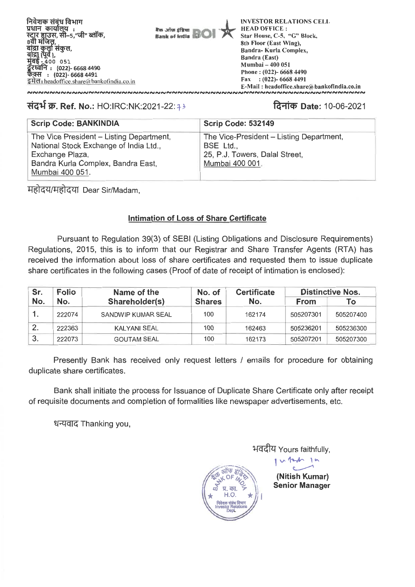

**Pin, and Atm Bank of India** 

**INVESTOR RELATIONS CELL HEAD OFFICE : Star House, C-5, "G" Block, 8th Floor (East Wing), Sandra- Kurla Complex, Bandra (East) Mumbai — 400 051 Phone : (022)- 6668 4490 Fax : (022)- 6668 4491 E-Mail : headoffice.share(ii bankofindia.co.in** 

# **3:N1-1 W. Ref. No.:** HO:IRC:NK:2021-22: 33 **1.4-11.4) Date:** 10-06-2021

| <b>Scrip Code: BANKINDIA</b>                                                                                                                                   | Scrip Code: 532149                                                                                         |
|----------------------------------------------------------------------------------------------------------------------------------------------------------------|------------------------------------------------------------------------------------------------------------|
| The Vice President - Listing Department,<br>National Stock Exchange of India Ltd.,<br>Exchange Plaza,<br>Bandra Kurla Complex, Bandra East,<br>Mumbai 400 051. | The Vice-President – Listing Department,<br>BSE Ltd.,<br>25, P.J. Towers, Dalal Street,<br>Mumbai 400 001. |

महोदय/महोदया Dear Sir/Madam,

## **Intimation of Loss of Share Certificate**

Pursuant to Regulation 39(3) of SEBI (Listing Obligations and Disclosure Requirements) Regulations, 2015, this is to inform that our Registrar and Share Transfer Agents (RTA) has received the information about loss of share certificates and requested them to issue duplicate share certificates in the following cases (Proof of date of receipt of intimation is enclosed):

| Sr. | <b>Folio</b> | Name of the         | No. of        | <b>Certificate</b> | <b>Distinctive Nos.</b> |           |  |  |
|-----|--------------|---------------------|---------------|--------------------|-------------------------|-----------|--|--|
| No. | No.          | Shareholder(s)      | <b>Shares</b> | No.                | <b>From</b>             | To:       |  |  |
|     | 222074       | SANDWIP KUMAR SEAL  | 100           | 162174             | 505207301               | 505207400 |  |  |
|     | 222363       | <b>KALYANI SEAL</b> | 100           | 162463             | 505236201               | 505236300 |  |  |
| 3.  | 222073       | <b>GOUTAM SEAL</b>  | 100           | 162173             | 505207201               | 505207300 |  |  |

Presently Bank has received only request letters / emails for procedure for obtaining duplicate share certificates.

Bank shall initiate the process for Issuance of Duplicate Share Certificate only after receipt of requisite documents and completion of formalities like newspaper advertisements, etc.

धन्यवाद Thanking you,

भवदीय Yours faithfully,



**(Nitish Kumar) Senior Manager** 

 $v$  12  $h$  1  $n$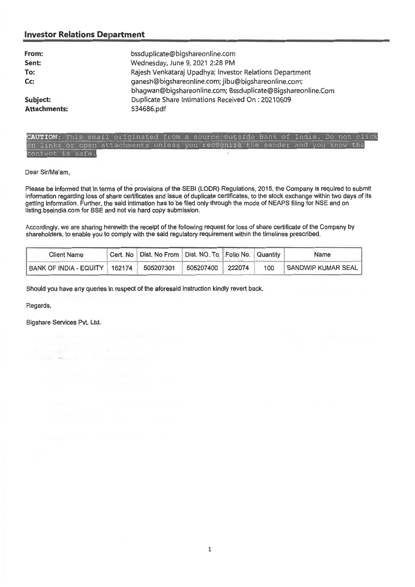## **Investor Relations Department**

| From:<br>Sent:<br>To:<br>Cc:<br>Subject: | bssduplicate@bigshareonline.com<br>Wednesday, June 9, 2021 2:28 PM<br>Rajesh Venkataraj Upadhya; Investor Relations Department<br>ganesh@bigshareonline.com; jibu@bigshareonline.com;<br>bhagwan@bigshareonline.com; Bssduplicate@Bigshareonline.Com<br>Duplicate Share Intimations Received On: 20210609 |
|------------------------------------------|-----------------------------------------------------------------------------------------------------------------------------------------------------------------------------------------------------------------------------------------------------------------------------------------------------------|
| <b>Attachments:</b>                      | 534686.pdf                                                                                                                                                                                                                                                                                                |

|                  | CAUTION: This email originated from a source outside Bank of India. Do not click |  |  |  |  |  |  |
|------------------|----------------------------------------------------------------------------------|--|--|--|--|--|--|
|                  | on links or open attachments unless you recognize the sender and you know the    |  |  |  |  |  |  |
| content is safe. |                                                                                  |  |  |  |  |  |  |

#### Dear Sir/Ma'am,

Please be informed that in terms of the provisions of the SEBI (LODR) Regulations, 2015, the Company is required to submit information regarding loss of share certificates and issue of duplicate certificates, to the stock exchange within two days of its getting information. Further, the said intimation has to be filed only through the mode of NEAPS filing for NSE and on listing.bseindia.com for BSE and not via hard copy submission.

Accordingly, we are sharing herewith the receipt of the following request for loss of share certificate of the Company by shareholders, to enable you to comply with the said regulatory requirement within the timelines prescribed.

| <b>Client Name</b>              | Cert. No   Dist. No From   Dist. NO. To   Folio No.   Quantity |           |        |     | Name               |
|---------------------------------|----------------------------------------------------------------|-----------|--------|-----|--------------------|
| BANK OF INDIA - EQUITY   162174 | 505207301                                                      | 505207400 | 222074 | 100 | SANDWIP KUMAR SEAL |

Should you have any queries in respect of the aforesaid instruction kindly revert back.

Regards,

Bigshare Services Pvt. Ltd.

in the paper in the the state opinion and in the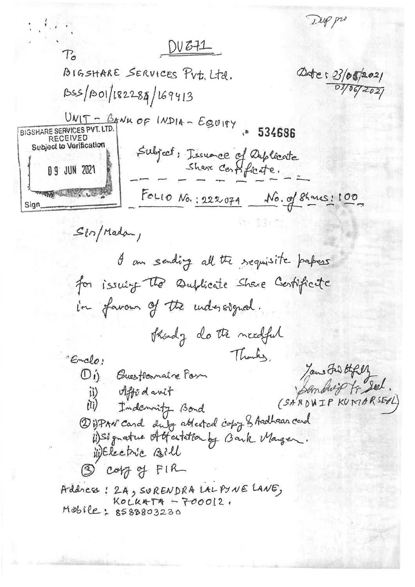Trip pri  $DVE+1$  $T_{\sigma}$ BIGSHARE SERVICES PUT. Ltd. Detes 23/05/2021 03/06/2021 BSS/BOI/182284/169413  $UNIT - BAWK OF INPIA - EgyIHY$  . 534686 BIGSHARE SERVICES PVT. LTD. **RECEIVED** Subject to Verification Subject: Issuance of Duplocate 09 JUN 2021 THE RESIDENCE OF FOLLO No.: 222074 No. of Shanes: 100 Sign  $S(n)$ Madan, I am sending all the requisite papers for issuing the Dufficite Share Centificate in favour of the understgued. Shordy do the needful Thanks, Emclo! Jame Frid thely Di) Buestonnaire Form Sandwipt Seel. ii) Affodovit (SARDWIP KUMARSEAL)  $(i)$ Indonnity Bond 2) PAN card duly atterted copy & Andhaan card i) Signature Attention by Bank Manger. WERECTIC Bill 3 copy of FIR Address: 2A, SURENDRA LALPYNE LANE,  $KolkATA - 700012$ Mobile: 8588803230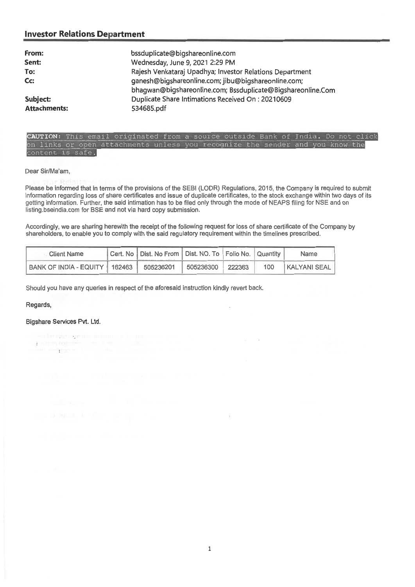## **Investor Relations Department**

| From:<br>Sent:<br>To:<br>Cc: | bssduplicate@bigshareonline.com<br>Wednesday, June 9, 2021 2:29 PM<br>Rajesh Venkataraj Upadhya; Investor Relations Department<br>ganesh@bigshareonline.com; jibu@bigshareonline.com;<br>bhagwan@bigshareonline.com; Bssduplicate@Bigshareonline.Com |
|------------------------------|------------------------------------------------------------------------------------------------------------------------------------------------------------------------------------------------------------------------------------------------------|
| Subject:                     | Duplicate Share Intimations Received On: 20210609                                                                                                                                                                                                    |
| <b>Attachments:</b>          | 534685.pdf                                                                                                                                                                                                                                           |



#### Dear Sir/Ma'am,

Please be informed that in terms of the provisions of the SEBI (LODR) Regulations, 2015, the Company is required to submit information regarding loss of share certificates and issue of duplicate certificates, to the stock exchange within two days of its getting information. Further, the said intimation has to be filed only through the mode of NEAPS filing for NSE and on listing.bseindia.com for BSE and not via hard copy submission.

 $\bar{z}$ 

Accordingly, we are sharing herewith the receipt of the following request for loss of share certificate of the Company by shareholders, to enable you to comply with the said regulatory requirement within the timelines prescribed.

| <b>Client Name</b>            |  | Cert. No   Dist. No From   Dist. NO. To   Folio No.   Quantity |           |        |     | <b>Name</b>               |  |
|-------------------------------|--|----------------------------------------------------------------|-----------|--------|-----|---------------------------|--|
| BANK OF INDIA - EQUITY 162463 |  | 505236201                                                      | 505236300 | 222363 | 100 | KALYANI SEAL <sup>T</sup> |  |

Should you have any queries in respect of the aforesaid instruction kindly revert back.

### Regards,

#### Bigshare Services Pvt. Ltd.

 $11 - 0.1 - 1.0 - 1.02 - 0.01$ 

chemigen armor nommer person shrmler is a more of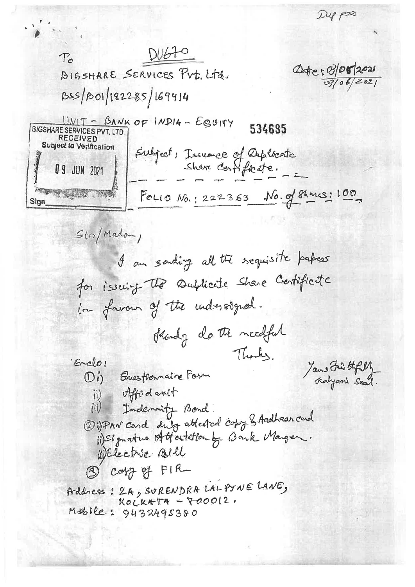Dup p20

 $DUEFO$  $T_{\alpha}$ Date: 03/05/2021 BIGSHARE SERVICES PUT. LTd.  $03/06/202$ BSS/BOI/182285/169414 <u> DNIT - BANK OF INDIA - EQUITY</u> 534685 **BIGSHARE SERVICES PVT. LTD RECEIVED** Subject to Verification Subject: Issuance of Duplocate 09 JUN 2021 **PROPERTY AND INCOME.** FOLIO No.: 222363 No. of Shanes: 100 Sign  $Si\gamma/Madom$ I am sending all the sequisite papers for issuing the sublicate share Certificate in favour of the understgued. thendy do the needful Thanks, 'Enclo! Jans Fair Offelly Di) Buestronnaire Form ii) offication (ii) Indemnity Bond 2 iPAN card duly atterned copy & Andhaar card (1) Signature of Hestation by Bank Manger. WElectric Bill 3 copy of FIR Addres: 2A, SURENDRA LAL PYNE LANE,  $Kolkappa - 700012$ Mobile: 9432495380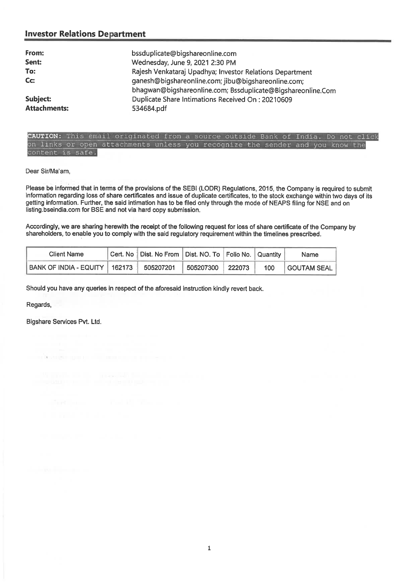## **Investor Relations Department**

| bssduplicate@bigshareonline.com<br>Wednesday, June 9, 2021 2:30 PM<br>Rajesh Venkataraj Upadhya; Investor Relations Department<br>ganesh@bigshareonline.com; jibu@bigshareonline.com;<br>bhagwan@bigshareonline.com; Bssduplicate@Bigshareonline.Com |
|------------------------------------------------------------------------------------------------------------------------------------------------------------------------------------------------------------------------------------------------------|
| Duplicate Share Intimations Received On: 20210609<br>534684.pdf                                                                                                                                                                                      |
|                                                                                                                                                                                                                                                      |

| <b>CAUTION:</b> This email originated from a source outside Bank of India. Do not click |  |  |  |  |  |  |  |  |  |  |
|-----------------------------------------------------------------------------------------|--|--|--|--|--|--|--|--|--|--|
| on links or open attachments unless you recognize the sender and you know the           |  |  |  |  |  |  |  |  |  |  |
| content is safe.                                                                        |  |  |  |  |  |  |  |  |  |  |

Dear Sir/Ma'am,

Please be informed that in terms of the provisions of the SEBI (LODR) Regulations, 2015, the Company is required to submit information regarding loss of share certificates and issue of duplicate certificates, to the stock exchange within two days of its getting information. Further, the said intimation has to be filed only through the mode of NEAPS filing for NSE and on listing.bseindia.com for BSE and not via hard copy submission.

Accordingly, we are sharing herewith the receipt of the following request for loss of share certificate of the Company by shareholders, to enable you to comply with the said regulatory requirement within the timelines prescribed.

| Client Name                      | Cert. No   Dist. No From   Dist. NO. To   Folio No.   Quantity |           |        |     | Name            |  |
|----------------------------------|----------------------------------------------------------------|-----------|--------|-----|-----------------|--|
| BANK OF INDIA - EQUITY    162173 | 505207201                                                      | 505207300 | 222073 | 100 | I GOUTAM SEAL I |  |

Should you have any queries in respect of the aforesaid instruction kindly revert back.

Regards,

Bigshare Services Pvt. Ltd.

a katan ana a